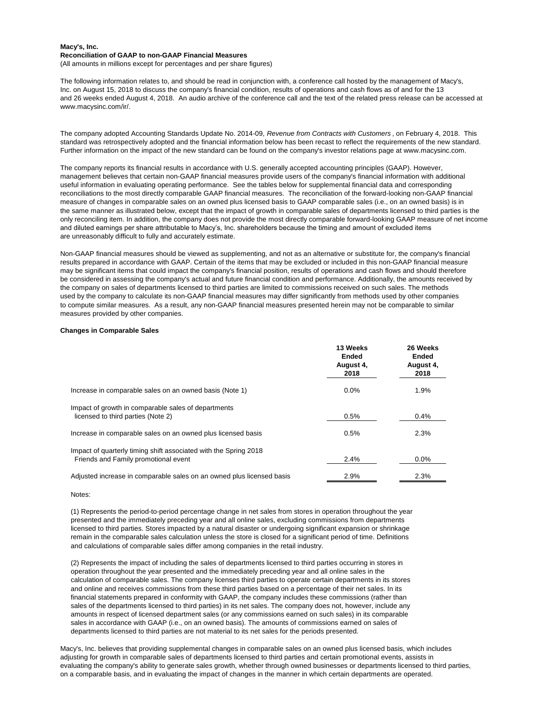# **Macy's, Inc. Reconciliation of GAAP to non-GAAP Financial Measures**

(All amounts in millions except for percentages and per share figures)

The following information relates to, and should be read in conjunction with, a conference call hosted by the management of Macy's, Inc. on August 15, 2018 to discuss the company's financial condition, results of operations and cash flows as of and for the 13 and 26 weeks ended August 4, 2018. An audio archive of the conference call and the text of the related press release can be accessed at www.macysinc.com/ir/.

The company adopted Accounting Standards Update No. 2014-09, *Revenue from Contracts with Customers* , on February 4, 2018. This standard was retrospectively adopted and the financial information below has been recast to reflect the requirements of the new standard. Further information on the impact of the new standard can be found on the company's investor relations page at www.macysinc.com.

The company reports its financial results in accordance with U.S. generally accepted accounting principles (GAAP). However, management believes that certain non-GAAP financial measures provide users of the company's financial information with additional useful information in evaluating operating performance. See the tables below for supplemental financial data and corresponding reconciliations to the most directly comparable GAAP financial measures. The reconciliation of the forward-looking non-GAAP financial measure of changes in comparable sales on an owned plus licensed basis to GAAP comparable sales (i.e., on an owned basis) is in the same manner as illustrated below, except that the impact of growth in comparable sales of departments licensed to third parties is the only reconciling item. In addition, the company does not provide the most directly comparable forward-looking GAAP measure of net income and diluted earnings per share attributable to Macy's, Inc. shareholders because the timing and amount of excluded items are unreasonably difficult to fully and accurately estimate.

Non-GAAP financial measures should be viewed as supplementing, and not as an alternative or substitute for, the company's financial results prepared in accordance with GAAP. Certain of the items that may be excluded or included in this non-GAAP financial measure may be significant items that could impact the company's financial position, results of operations and cash flows and should therefore be considered in assessing the company's actual and future financial condition and performance. Additionally, the amounts received by the company on sales of departments licensed to third parties are limited to commissions received on such sales. The methods used by the company to calculate its non-GAAP financial measures may differ significantly from methods used by other companies to compute similar measures. As a result, any non-GAAP financial measures presented herein may not be comparable to similar measures provided by other companies.

## **Changes in Comparable Sales**

|                                                                                                          | 13 Weeks<br><b>Ended</b><br>August 4,<br>2018 | 26 Weeks<br><b>Ended</b><br>August 4,<br>2018 |
|----------------------------------------------------------------------------------------------------------|-----------------------------------------------|-----------------------------------------------|
| Increase in comparable sales on an owned basis (Note 1)                                                  | 0.0%                                          | 1.9%                                          |
| Impact of growth in comparable sales of departments<br>licensed to third parties (Note 2)                | 0.5%                                          | $0.4\%$                                       |
| Increase in comparable sales on an owned plus licensed basis                                             | 0.5%                                          | 2.3%                                          |
| Impact of quarterly timing shift associated with the Spring 2018<br>Friends and Family promotional event | 2.4%                                          | 0.0%                                          |
| Adjusted increase in comparable sales on an owned plus licensed basis                                    | 2.9%                                          | 2.3%                                          |

Notes:

(1) Represents the period-to-period percentage change in net sales from stores in operation throughout the year presented and the immediately preceding year and all online sales, excluding commissions from departments licensed to third parties. Stores impacted by a natural disaster or undergoing significant expansion or shrinkage remain in the comparable sales calculation unless the store is closed for a significant period of time. Definitions and calculations of comparable sales differ among companies in the retail industry.

(2) Represents the impact of including the sales of departments licensed to third parties occurring in stores in operation throughout the year presented and the immediately preceding year and all online sales in the calculation of comparable sales. The company licenses third parties to operate certain departments in its stores and online and receives commissions from these third parties based on a percentage of their net sales. In its financial statements prepared in conformity with GAAP, the company includes these commissions (rather than sales of the departments licensed to third parties) in its net sales. The company does not, however, include any amounts in respect of licensed department sales (or any commissions earned on such sales) in its comparable sales in accordance with GAAP (i.e., on an owned basis). The amounts of commissions earned on sales of departments licensed to third parties are not material to its net sales for the periods presented.

Macy's, Inc. believes that providing supplemental changes in comparable sales on an owned plus licensed basis, which includes adjusting for growth in comparable sales of departments licensed to third parties and certain promotional events, assists in evaluating the company's ability to generate sales growth, whether through owned businesses or departments licensed to third parties, on a comparable basis, and in evaluating the impact of changes in the manner in which certain departments are operated.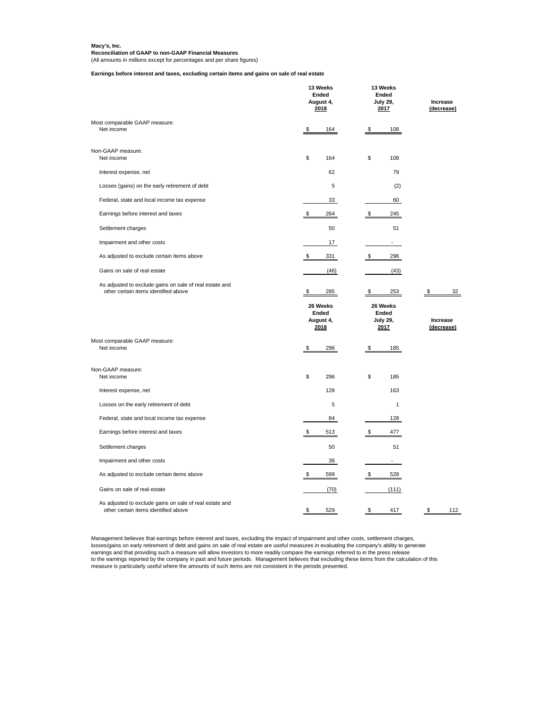# **Macy's, Inc.**

#### **Reconciliation of GAAP to non-GAAP Financial Measures**

(All amounts in millions except for percentages and per share figures)

# **Earnings before interest and taxes, excluding certain items and gains on sale of real estate**

|                                                                                                 | 13 Weeks<br><b>Ended</b><br>August 4,<br>2018 |    | 13 Weeks<br><b>Ended</b><br><b>July 29,</b><br>2017 |                               | <b>Increase</b><br>(decrease) |  |
|-------------------------------------------------------------------------------------------------|-----------------------------------------------|----|-----------------------------------------------------|-------------------------------|-------------------------------|--|
| Most comparable GAAP measure:<br>Net income                                                     | \$<br>164                                     | \$ | 108                                                 |                               |                               |  |
| Non-GAAP measure:<br>Net income                                                                 | \$<br>164                                     | \$ | 108                                                 |                               |                               |  |
| Interest expense, net                                                                           | 62                                            |    | 79                                                  |                               |                               |  |
| Losses (gains) on the early retirement of debt                                                  | 5                                             |    | (2)                                                 |                               |                               |  |
| Federal, state and local income tax expense                                                     | 33                                            |    | 60                                                  |                               |                               |  |
| Earnings before interest and taxes                                                              | \$<br>264                                     | \$ | 245                                                 |                               |                               |  |
| Settlement charges                                                                              | 50                                            |    | 51                                                  |                               |                               |  |
| Impairment and other costs                                                                      | 17                                            |    |                                                     |                               |                               |  |
| As adjusted to exclude certain items above                                                      | \$<br>331                                     | \$ | 296                                                 |                               |                               |  |
| Gains on sale of real estate                                                                    | (46)                                          |    | (43)                                                |                               |                               |  |
| As adjusted to exclude gains on sale of real estate and<br>other certain items identified above | \$<br>285                                     | \$ | 253                                                 | \$                            | 32                            |  |
|                                                                                                 | 26 Weeks<br><b>Ended</b><br>August 4,<br>2018 |    | 26 Weeks<br><b>Ended</b><br><b>July 29,</b><br>2017 | <b>Increase</b><br>(decrease) |                               |  |
| Most comparable GAAP measure:<br>Net income                                                     | 296                                           |    | 185                                                 |                               |                               |  |
| Non-GAAP measure:<br>Net income                                                                 | \$<br>296                                     | \$ | 185                                                 |                               |                               |  |
| Interest expense, net                                                                           | 128                                           |    | 163                                                 |                               |                               |  |
| Losses on the early retirement of debt                                                          | 5                                             |    | 1                                                   |                               |                               |  |
| Federal, state and local income tax expense                                                     | 84                                            |    | 128                                                 |                               |                               |  |
| Earnings before interest and taxes                                                              | 513                                           |    | 477                                                 |                               |                               |  |
| Settlement charges                                                                              | 50                                            |    | 51                                                  |                               |                               |  |
| Impairment and other costs                                                                      | 36                                            |    |                                                     |                               |                               |  |
| As adjusted to exclude certain items above                                                      | 599                                           |    | 528                                                 |                               |                               |  |
|                                                                                                 |                                               |    |                                                     |                               |                               |  |



Management believes that earnings before interest and taxes, excluding the impact of impairment and other costs, settlement charges, losses/gains on early retirement of debt and gains on sale of real estate are useful measures in evaluating the company's ability to generate earnings and that providing such a measure will allow investors to more readily compare the earnings referred to in the press release to the earnings reported by the company in past and future periods. Management believes that excluding these items from the calculation of this measure is particularly useful where the amounts of such items are not consistent in the periods presented.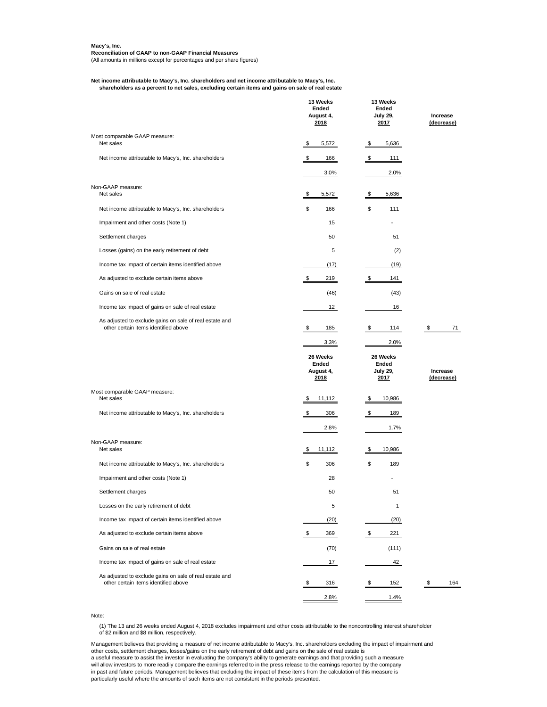## **Macy's, Inc.**

#### **Reconciliation of GAAP to non-GAAP Financial Measures**

(All amounts in millions except for percentages and per share figures)

# **Net income attributable to Macy's, Inc. shareholders and net income attributable to Macy's, Inc. shareholders as a percent to net sales, excluding certain items and gains on sale of real estate**

|                                                                                                 | 13 Weeks<br><b>Ended</b><br>August 4,<br>2018 | 13 Weeks<br><b>Ended</b><br><b>July 29,</b><br>2017 | <b>Increase</b><br>(decrease) |
|-------------------------------------------------------------------------------------------------|-----------------------------------------------|-----------------------------------------------------|-------------------------------|
| Most comparable GAAP measure:<br>Net sales                                                      | 5,572<br>- \$                                 | 5,636<br>\$                                         |                               |
|                                                                                                 |                                               |                                                     |                               |
| Net income attributable to Macy's, Inc. shareholders                                            | 166                                           | 111                                                 |                               |
|                                                                                                 | 3.0%                                          | 2.0%                                                |                               |
| Non-GAAP measure:<br>Net sales                                                                  | 5,572<br>\$                                   | \$<br>5,636                                         |                               |
| Net income attributable to Macy's, Inc. shareholders                                            | \$<br>166                                     | \$<br>111                                           |                               |
| Impairment and other costs (Note 1)                                                             | 15                                            |                                                     |                               |
| Settlement charges                                                                              | 50                                            | 51                                                  |                               |
| Losses (gains) on the early retirement of debt                                                  | 5                                             | (2)                                                 |                               |
| Income tax impact of certain items identified above                                             | (17)                                          | (19)                                                |                               |
| As adjusted to exclude certain items above                                                      | 219<br>\$                                     | 141<br>S.                                           |                               |
| Gains on sale of real estate                                                                    | (46)                                          | (43)                                                |                               |
| Income tax impact of gains on sale of real estate                                               | 12 <sub>2</sub>                               | 16                                                  |                               |
| As adjusted to exclude gains on sale of real estate and<br>other certain items identified above | 185<br>\$                                     | 114<br>\$                                           | 71<br>\$                      |
|                                                                                                 |                                               |                                                     |                               |
|                                                                                                 | 3.3%                                          | 2.0%                                                |                               |
|                                                                                                 | 26 Weeks<br><b>Ended</b><br>August 4,<br>2018 | 26 Weeks<br><b>Ended</b><br><b>July 29,</b><br>2017 | <b>Increase</b><br>(decrease) |
| Most comparable GAAP measure:<br>Net sales                                                      | 11,112<br>\$                                  | 10,986<br>\$                                        |                               |
| Net income attributable to Macy's, Inc. shareholders                                            | 306                                           | 189                                                 |                               |
|                                                                                                 | 2.8%                                          | 1.7%                                                |                               |
| Non-GAAP measure:<br>Net sales                                                                  | 11,112<br>\$                                  | 10,986                                              |                               |
| Net income attributable to Macy's, Inc. shareholders                                            | \$<br>306                                     | \$<br>189                                           |                               |
| Impairment and other costs (Note 1)                                                             | 28                                            |                                                     |                               |

| Settlement charges                                                                              | 50   | 51    |     |
|-------------------------------------------------------------------------------------------------|------|-------|-----|
| Losses on the early retirement of debt                                                          | 5    |       |     |
| Income tax impact of certain items identified above                                             | (20) | (20)  |     |
| As adjusted to exclude certain items above                                                      | 369  | 221   |     |
| Gains on sale of real estate                                                                    | (70) | (111) |     |
| Income tax impact of gains on sale of real estate                                               | 17   | 42    |     |
| As adjusted to exclude gains on sale of real estate and<br>other certain items identified above | 316  | 152   | 164 |
|                                                                                                 | 2.8% | 1.4%  |     |

Note:

(1) The 13 and 26 weeks ended August 4, 2018 excludes impairment and other costs attributable to the noncontrolling interest shareholder of \$2 million and \$8 million, respectively.

Management believes that providing a measure of net income attributable to Macy's, Inc. shareholders excluding the impact of impairment and other costs, settlement charges, losses/gains on the early retirement of debt and gains on the sale of real estate is a useful measure to assist the investor in evaluating the company's ability to generate earnings and that providing such a measure will allow investors to more readily compare the earnings referred to in the press release to the earnings reported by the company in past and future periods. Management believes that excluding the impact of these items from the calculation of this measure is particularly useful where the amounts of such items are not consistent in the periods presented.